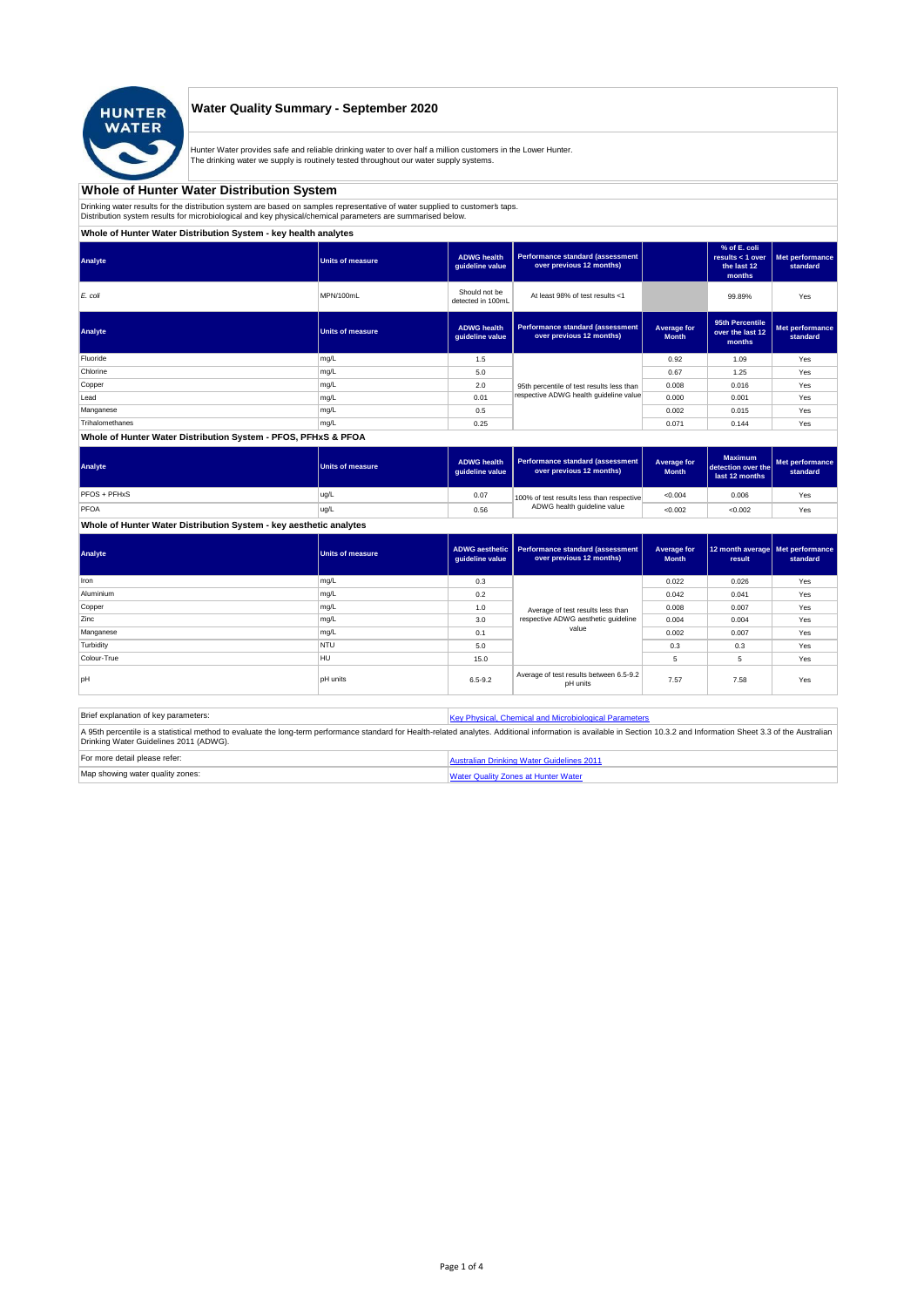

## **Water Quality Summary - September 2020**

Hunter Water provides safe and reliable drinking water to over half a million customers in the Lower Hunter. The drinking water we supply is routinely tested throughout our water supply systems.

# **Whole of Hunter Water Distribution System**

Drinking water results for the distribution system are based on samples representative of water supplied to customer' taps.<br>Distribution system results for microbiological and key physical/chemical parameters are summarise

**Whole of Hunter Water Distribution System - key health analytes**

| Analyte            | Units of measure | <b>ADWG</b> health<br>guideline value | <b>Performance standard (assessment</b><br>over previous 12 months) |                             | % of E. coli<br>results < $1$ over<br>the last 12<br>months | Met performance<br>standard |
|--------------------|------------------|---------------------------------------|---------------------------------------------------------------------|-----------------------------|-------------------------------------------------------------|-----------------------------|
| E. coli            | MPN/100mL        | Should not be<br>detected in 100mL    | At least 98% of test results <1                                     |                             | 99.89%                                                      | Yes                         |
| Analyte            | Units of measure | <b>ADWG</b> health<br>quideline value | Performance standard (assessment<br>over previous 12 months)        | Average for<br><b>Month</b> | 95th Percentile<br>over the last 12<br>months               | Met performance<br>standard |
| Fluoride           | mg/L             | 1.5                                   |                                                                     | 0.92                        | 1.09                                                        | Yes                         |
| Chlorine           | mg/L             | 5.0                                   |                                                                     | 0.67                        | 1.25                                                        | Yes                         |
| Copper             | mg/L             | 2.0                                   | 95th percentile of test results less than                           | 0.008                       | 0.016                                                       | Yes                         |
| Lead               | mg/L             | 0.01                                  | respective ADWG health quideline value                              | 0.000                       | 0.001                                                       | Yes                         |
| Manganese          | mg/L             | 0.5                                   |                                                                     | 0.002                       | 0.015                                                       | Yes                         |
| Trihalomethanes    | mg/L             | 0.25                                  |                                                                     | 0.071                       | 0.144                                                       | Yes                         |
| ---- --- - - --- - |                  |                                       |                                                                     |                             |                                                             |                             |

#### **Whole of Hunter Water Distribution System - PFOS, PFHxS & PFOA**

| Analyte      | Units of measure | <b>ADWG health</b><br>auideline value | Performance standard (assessment<br>over previous 12 months) | Average for<br><b>Month</b> | <b>Maximum</b><br>detection over the<br>last 12 months | Met performance<br>standard |
|--------------|------------------|---------------------------------------|--------------------------------------------------------------|-----------------------------|--------------------------------------------------------|-----------------------------|
| PFOS + PFHxS | ug/L             | 0.07                                  | 100% of test results less than respective                    | < 0.004                     | 0.006                                                  | Yes                         |
| PFOA         | ug/L             | 0.56                                  | ADWG health guideline value                                  | < 0.002                     | < 0.002                                                | Yes                         |

## **Whole of Hunter Water Distribution System - key aesthetic analytes**

| Analyte     | Units of measure | guideline value | ADWG aesthetic   Performance standard (assessment<br>over previous 12 months) | Average for<br><b>Month</b> | 12 month average Met performance<br>result | standard |
|-------------|------------------|-----------------|-------------------------------------------------------------------------------|-----------------------------|--------------------------------------------|----------|
| Iron        | mg/L             | 0.3             |                                                                               | 0.022                       | 0.026                                      | Yes      |
| Aluminium   | mg/L             | 0.2             |                                                                               | 0.042                       | 0.041                                      | Yes      |
| Copper      | mg/L             | 1.0             | Average of test results less than                                             | 0.008                       | 0.007                                      | Yes      |
| Zinc        | mg/L             | 3.0             | respective ADWG aesthetic quideline                                           | 0.004                       | 0.004                                      | Yes      |
| Manganese   | mg/L             | 0.1             | value                                                                         | 0.002                       | 0.007                                      | Yes      |
| Turbidity   | <b>NTU</b>       | 5.0             |                                                                               | 0.3                         | 0.3                                        | Yes      |
| Colour-True | HU               | 15.0            |                                                                               | 5                           | 5                                          | Yes      |
| loH         | <b>pH</b> units  | $6.5 - 9.2$     | Average of test results between 6.5-9.2<br>pH units                           | 7.57                        | 7.58                                       | Yes      |

| Brief explanation of key parameters:   | Key Physical, Chemical and Microbiological Parameters                                                                                                                                                                   |
|----------------------------------------|-------------------------------------------------------------------------------------------------------------------------------------------------------------------------------------------------------------------------|
| Drinking Water Guidelines 2011 (ADWG). | A 95th percentile is a statistical method to evaluate the long-term performance standard for Health-related analytes. Additional information is available in Section 10.3.2 and Information Sheet 3.3 of the Australian |
| For more detail please refer:          | Australian Drinking Water Guidelines 2011                                                                                                                                                                               |
| Map showing water quality zones:       | <b>Water Quality Zones at Hunter Water</b>                                                                                                                                                                              |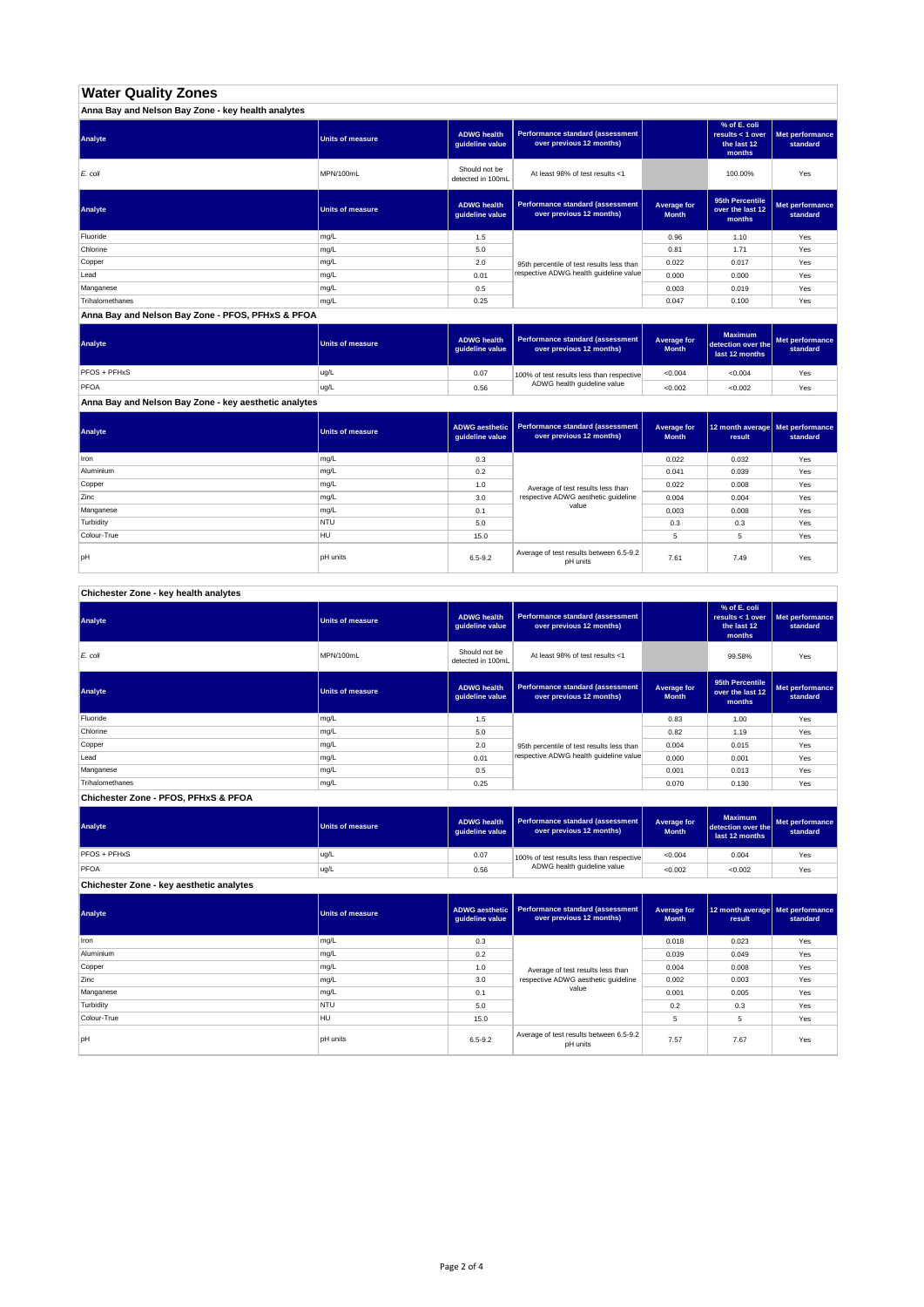# **Water Quality Zones**

| Anna Bay and Nelson Bay Zone - key health analytes |                         |                                       |                                                              |                             |                                                           |                             |
|----------------------------------------------------|-------------------------|---------------------------------------|--------------------------------------------------------------|-----------------------------|-----------------------------------------------------------|-----------------------------|
| Analyte                                            | <b>Units of measure</b> | <b>ADWG health</b><br>guideline value | Performance standard (assessment<br>over previous 12 months) |                             | % of E. coli<br>results < 1 over<br>the last 12<br>months | Met performance<br>standard |
| E. coli                                            | MPN/100mL               | Should not be<br>detected in 100mL    | At least 98% of test results <1                              |                             | 100.00%                                                   | Yes                         |
| Analyte                                            | <b>Units of measure</b> | <b>ADWG health</b><br>quideline value | Performance standard (assessment<br>over previous 12 months) | Average for<br><b>Month</b> | 95th Percentile<br>over the last 12<br>months             | Met performance<br>standard |
| Fluoride                                           | mg/L                    | 1.5                                   |                                                              | 0.96                        | 1.10                                                      | Yes                         |
| Chlorine                                           | mg/L                    | 5.0                                   |                                                              | 0.81                        | 1.71                                                      | Yes                         |
| Copper                                             | mg/L                    | 2.0                                   | 95th percentile of test results less than                    | 0.022                       | 0.017                                                     | Yes                         |
| Lead                                               | mg/L                    | 0.01                                  | respective ADWG health quideline value                       | 0.000                       | 0.000                                                     | Yes                         |
| Manganese                                          | mg/L                    | 0.5                                   |                                                              | 0.003                       | 0.019                                                     | Yes                         |
| Trihalomethanes                                    | mg/L                    | 0.25                                  |                                                              | 0.047                       | 0.100                                                     | Yes                         |

**Anna Bay and Nelson Bay Zone - PFOS, PFHxS & PFOA**

| Analyte      | Units of measure | <b>ADWG health</b><br>quideline value | Performance standard (assessment<br>over previous 12 months) | <b>Average for</b><br><b>Month</b> | <b>Maximum</b><br>detection over the<br>last 12 months | Met performance<br>standard |
|--------------|------------------|---------------------------------------|--------------------------------------------------------------|------------------------------------|--------------------------------------------------------|-----------------------------|
| PFOS + PFHxS | ug/L             | 0.07                                  | 100% of test results less than respective                    | < 0.004                            | < 0.004                                                | Yes                         |
| PFOA         | ug/L             | 0.56                                  | ADWG health guideline value                                  | < 0.002                            | < 0.002                                                | Yes                         |

**Anna Bay and Nelson Bay Zone - key aesthetic analytes**

| Analyte     | Units of measure | ADWG aesthetic  <br>guideline value | Performance standard (assessment<br>over previous 12 months) | Average for<br><b>Month</b> | 12 month average   Met performance<br>result | standard |
|-------------|------------------|-------------------------------------|--------------------------------------------------------------|-----------------------------|----------------------------------------------|----------|
| Iron        | mg/L             | 0.3                                 |                                                              | 0.022                       | 0.032                                        | Yes      |
| Aluminium   | mg/L             | 0.2                                 |                                                              | 0.041                       | 0.039                                        | Yes      |
| Copper      | mg/L             | 1.0                                 | Average of test results less than                            | 0.022                       | 0.008                                        | Yes      |
| Zinc        | mg/L             | 3.0                                 | respective ADWG aesthetic quideline                          | 0.004                       | 0.004                                        | Yes      |
| Manganese   | mg/L             | 0.1                                 | value                                                        | 0.003                       | 0.008                                        | Yes      |
| Turbidity   | <b>NTU</b>       | 5.0                                 |                                                              | 0.3                         | 0.3                                          | Yes      |
| Colour-True | HU               | 15.0                                |                                                              |                             | 5                                            | Yes      |
| pH          | <b>pH</b> units  | $6.5 - 9.2$                         | Average of test results between 6.5-9.2<br>pH units          | 7.61                        | 7.49                                         | Yes      |

**Chichester Zone - key health analytes**

| Analyte         | <b>Units of measure</b> | <b>ADWG health</b><br>guideline value | Performance standard (assessment<br>over previous 12 months) |                             | % of E. coli<br>results $<$ 1 over<br>the last 12<br>months | Met performance<br>standard |
|-----------------|-------------------------|---------------------------------------|--------------------------------------------------------------|-----------------------------|-------------------------------------------------------------|-----------------------------|
| E. coli         | MPN/100mL               | Should not be<br>detected in 100mL    | At least 98% of test results <1                              |                             | 99.58%                                                      | Yes                         |
| Analyte         | <b>Units of measure</b> | <b>ADWG health</b><br>guideline value | Performance standard (assessment<br>over previous 12 months) | Average for<br><b>Month</b> | 95th Percentile<br>over the last 12<br>months               | Met performance<br>standard |
| Fluoride        | mg/L                    | 1.5                                   |                                                              | 0.83                        | 1.00                                                        | Yes                         |
| Chlorine        | mg/L                    | 5.0                                   |                                                              | 0.82                        | 1.19                                                        | Yes                         |
| Copper          | mg/L                    | 2.0                                   | 95th percentile of test results less than                    | 0.004                       | 0.015                                                       | Yes                         |
| Lead            | mg/L                    | 0.01                                  | respective ADWG health quideline value                       | 0.000                       | 0.001                                                       | Yes                         |
| Manganese       | mg/L                    | 0.5                                   |                                                              | 0.001                       | 0.013                                                       | Yes                         |
| Trihalomethanes | mg/L                    | 0.25                                  |                                                              | 0.070                       | 0.130                                                       | Yes                         |

**Chichester Zone - PFOS, PFHxS & PFOA**

| Analyte                                  | Units of measure | <b>ADWG health</b><br>auideline value | Performance standard (assessment<br>over previous 12 months) | Average for<br><b>Month</b> | <b>Maximum</b><br>detection over the<br>last 12 months | Met performance<br>standard |
|------------------------------------------|------------------|---------------------------------------|--------------------------------------------------------------|-----------------------------|--------------------------------------------------------|-----------------------------|
| <b>PFOS + PFHxS</b>                      | ug/L             | 0.07                                  | 100% of test results less than respective                    | < 0.004                     | 0.004                                                  | Yes                         |
| PFOA                                     | ug/L             | 0.56                                  | ADWG health guideline value                                  | < 0.002                     | < 0.002                                                | Yes                         |
| Chichester Zone - key aesthetic analytes |                  |                                       |                                                              |                             |                                                        |                             |

| Analyte     | <b>Units of measure</b> | ADWG aesthetic<br>guideline value | Performance standard (assessment<br>over previous 12 months) | Average for<br><b>Month</b> | 12 month average Met performance<br>result | standard |
|-------------|-------------------------|-----------------------------------|--------------------------------------------------------------|-----------------------------|--------------------------------------------|----------|
| Iron        | mg/L                    | 0.3                               |                                                              | 0.018                       | 0.023                                      | Yes      |
| Aluminium   | mg/L                    | 0.2                               |                                                              | 0.039                       | 0.049                                      | Yes      |
| Copper      | mg/L                    | 1.0                               | Average of test results less than                            | 0.004                       | 0.008                                      | Yes      |
| Zinc        | mg/L                    | 3.0                               | respective ADWG aesthetic quideline                          | 0.002                       | 0.003                                      | Yes      |
| Manganese   | mg/L                    | 0.1                               | value                                                        | 0.001                       | 0.005                                      | Yes      |
| Turbidity   | <b>NTU</b>              | 5.0                               |                                                              | 0.2                         | 0.3                                        | Yes      |
| Colour-True | <b>HU</b>               | 15.0                              |                                                              | 5                           | 5                                          | Yes      |
| pH          | <b>pH</b> units         | $6.5 - 9.2$                       | Average of test results between 6.5-9.2<br>pH units          | 7.57                        | 7.67                                       | Yes      |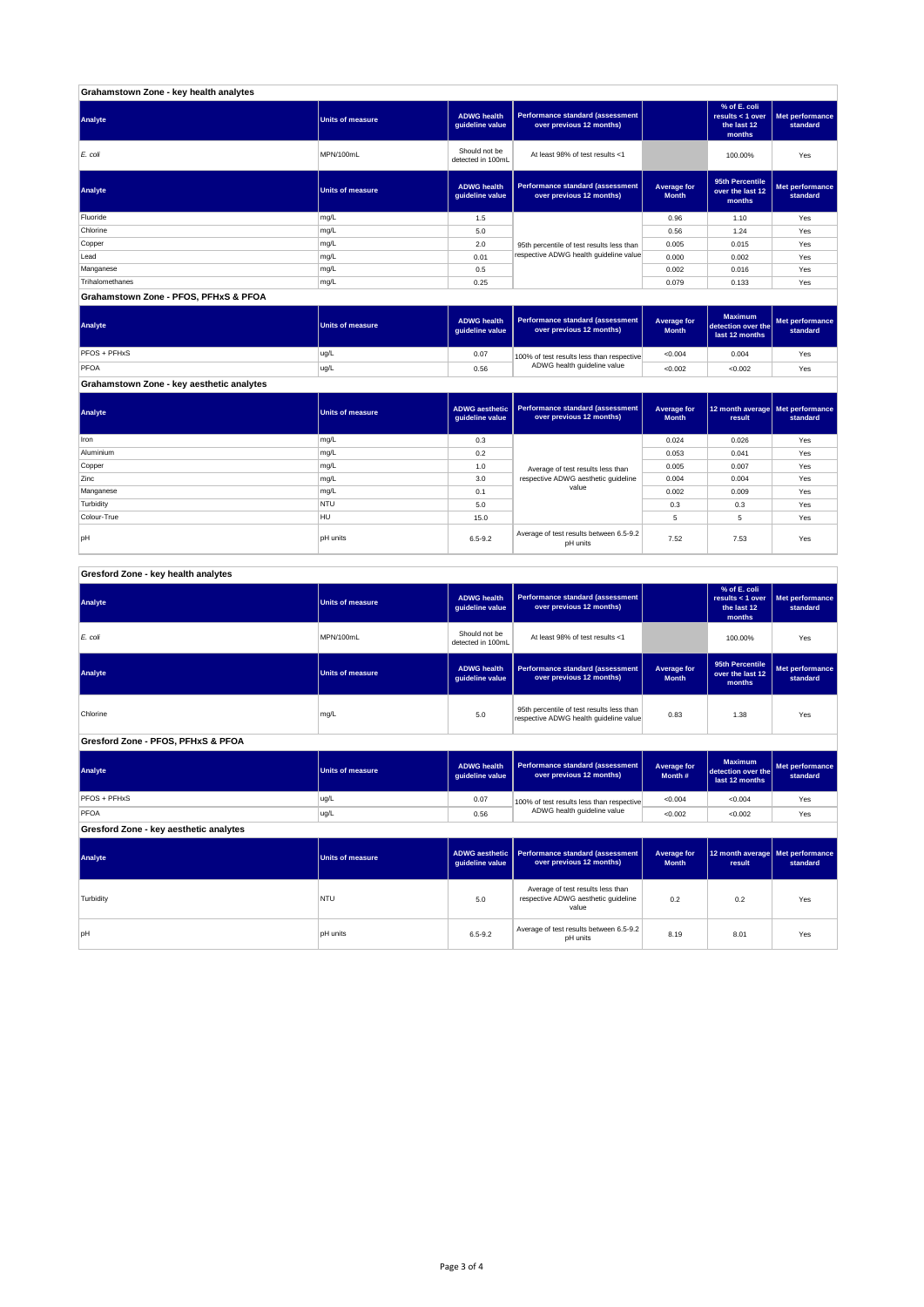| Grahamstown Zone - key health analytes |                         |                                       |                                                              |                             |                                                             |                             |
|----------------------------------------|-------------------------|---------------------------------------|--------------------------------------------------------------|-----------------------------|-------------------------------------------------------------|-----------------------------|
| Analyte                                | <b>Units of measure</b> | <b>ADWG health</b><br>guideline value | Performance standard (assessment<br>over previous 12 months) |                             | % of E. coli<br>results $<$ 1 over<br>the last 12<br>months | Met performance<br>standard |
| E. coli                                | MPN/100mL               | Should not be<br>detected in 100mL    | At least 98% of test results <1                              |                             | 100.00%                                                     | Yes                         |
| Analyte                                | <b>Units of measure</b> | <b>ADWG health</b><br>quideline value | Performance standard (assessment<br>over previous 12 months) | Average for<br><b>Month</b> | 95th Percentile<br>over the last 12<br>months               | Met performance<br>standard |
| Fluoride                               | mg/L                    | 1.5                                   |                                                              | 0.96                        | 1.10                                                        | Yes                         |
| Chlorine                               | mg/L                    | 5.0                                   |                                                              | 0.56                        | 1.24                                                        | Yes                         |
| Copper                                 | mg/L                    | 2.0                                   | 95th percentile of test results less than                    | 0.005                       | 0.015                                                       | Yes                         |
| Lead                                   | mg/L                    | 0.01                                  | respective ADWG health guideline value                       | 0.000                       | 0.002                                                       | Yes                         |
| Manganese                              | mg/L                    | 0.5                                   |                                                              | 0.002                       | 0.016                                                       | Yes                         |
| Trihalomethanes                        | mg/L                    | 0.25                                  |                                                              | 0.079                       | 0.133                                                       | Yes                         |
| Grahamstown Zone - PFOS, PFHxS & PFOA  |                         |                                       |                                                              |                             |                                                             |                             |

**ADWG health guideline value Average for Month Maximum detection over the last 12 months Met performance standard** 0.07 100% of test results less than respective  $\sim 0.004$  0.004 Yes 0.56 <0.002 <0.002 Yes PFOS + PFHxS ug/L<br>PFOA ug/L<br>PFOA ug/L PFOA ug/L 100% of test results less than respective ADWG health guideline value **Analyte Performance standard (assessment <b>Performance standard (assessment Performance standard (assessment Performance standard (assessment performance standard (assessment**)

**Grahamstown Zone - key aesthetic analytes**

| Analyte     | <b>Units of measure</b> | guideline value | ADWG aesthetic   Performance standard (assessment<br>over previous 12 months) | Average for<br><b>Month</b> | 12 month average   Met performance<br>result | standard |
|-------------|-------------------------|-----------------|-------------------------------------------------------------------------------|-----------------------------|----------------------------------------------|----------|
| Iron        | mg/L                    | 0.3             |                                                                               | 0.024                       | 0.026                                        | Yes      |
| Aluminium   | mg/L                    | 0.2             |                                                                               | 0.053                       | 0.041                                        | Yes      |
| Copper      | mg/L                    | 1.0             | Average of test results less than                                             | 0.005                       | 0.007                                        | Yes      |
| Zinc        | mg/L                    | 3.0             | respective ADWG aesthetic quideline                                           | 0.004                       | 0.004                                        | Yes      |
| Manganese   | mg/L                    | 0.1             | value                                                                         | 0.002                       | 0.009                                        | Yes      |
| Turbidity   | <b>NTU</b>              | 5.0             |                                                                               | 0.3                         | 0.3                                          | Yes      |
| Colour-True | <b>HU</b>               | 15.0            |                                                                               | 5                           | 5                                            | Yes      |
| <b>bH</b>   | <b>DH</b> units         | $6.5 - 9.2$     | Average of test results between 6.5-9.2<br>pH units                           | 7.52                        | 7.53                                         | Yes      |

| Gresford Zone - key health analytes |
|-------------------------------------|
|-------------------------------------|

| Analyte                                | <b>Units of measure</b> | <b>ADWG</b> health<br>guideline value    | Performance standard (assessment<br>over previous 12 months)                        |                                    | % of E. coli<br>results < $1$ over<br>the last 12<br>months | Met performance<br>standard |  |  |
|----------------------------------------|-------------------------|------------------------------------------|-------------------------------------------------------------------------------------|------------------------------------|-------------------------------------------------------------|-----------------------------|--|--|
| E. coli                                | MPN/100mL               | Should not be<br>detected in 100mL       | At least 98% of test results <1                                                     |                                    | 100.00%                                                     | Yes                         |  |  |
| Analyte                                | <b>Units of measure</b> | <b>ADWG health</b><br>guideline value    | <b>Performance standard (assessment</b><br>over previous 12 months)                 | <b>Average for</b><br><b>Month</b> | 95th Percentile<br>over the last 12<br>months               | Met performance<br>standard |  |  |
| Chlorine                               | mg/L                    | 5.0                                      | 95th percentile of test results less than<br>respective ADWG health guideline value | 0.83                               | 1.38                                                        | Yes                         |  |  |
| Gresford Zone - PFOS, PFHxS & PFOA     |                         |                                          |                                                                                     |                                    |                                                             |                             |  |  |
| Analyte                                | <b>Units of measure</b> | <b>ADWG health</b><br>guideline value    | <b>Performance standard (assessment</b><br>over previous 12 months)                 | <b>Average for</b><br>Month#       | <b>Maximum</b><br>detection over the<br>last 12 months      | Met performance<br>standard |  |  |
| PFOS + PFHxS                           | ug/L                    | 0.07                                     | 100% of test results less than respective                                           | < 0.004                            | < 0.004                                                     | Yes                         |  |  |
| PFOA                                   | ug/L                    | 0.56                                     | ADWG health guideline value                                                         | < 0.002                            | < 0.002                                                     | Yes                         |  |  |
| Gresford Zone - key aesthetic analytes |                         |                                          |                                                                                     |                                    |                                                             |                             |  |  |
| Analyte                                | <b>Units of measure</b> | <b>ADWG aesthetic</b><br>guideline value | <b>Performance standard (assessment</b><br>over previous 12 months)                 | Average for<br><b>Month</b>        | 12 month average<br>result                                  | Met performance<br>standard |  |  |
| Turbidity                              | NTU                     | 5.0                                      | Average of test results less than<br>respective ADWG aesthetic quideline<br>value   | 0.2                                | 0.2                                                         | Yes                         |  |  |
| pH                                     | <b>pH</b> units         | $6.5 - 9.2$                              | Average of test results between 6.5-9.2<br>pH units                                 | 8.19                               | 8.01                                                        | Yes                         |  |  |